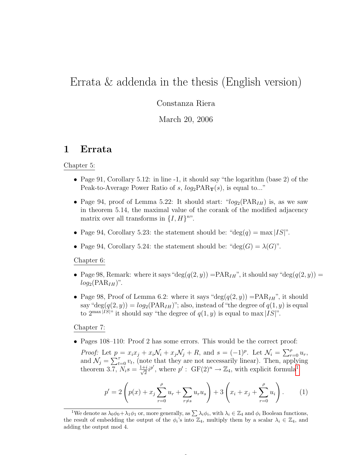# Errata & addenda in the thesis (English version)

Constanza Riera

March 20, 2006

### 1 Errata

#### Chapter 5:

- Page 91, Corollary 5.12: in line -1, it should say "the logarithm (base 2) of the Peak-to-Average Power Ratio of s,  $log_2 PAR_T(s)$ , is equal to..."
- Page 94, proof of Lemma 5.22: It should start: " $log_2(\text{PAR}_{IH})$  is, as we saw in theorem 5.14, the maximal value of the corank of the modified adjacency matrix over all transforms in  $\{I, H\}^{nv}$ .
- Page 94, Corollary 5.23: the statement should be: "deg(q) = max |IS|".
- Page 94, Corollary 5.24: the statement should be: "deg( $G$ ) =  $\lambda(G)$ ".

Chapter 6:

- Page 98, Remark: where it says "deg $(q(2, y))$  = PAR<sub>IH</sub>", it should say "deg $(q(2, y))$  =  $log_2(\text{PAR}_{IH})$ ".
- Page 98, Proof of Lemma 6.2: where it says "deg( $q(2, y)$ ) =  $\text{PAR}_{IH}$ ", it should say "deg $(q(2, y)) = log_2(PAR_{IH})$ "; also, instead of "the degree of  $q(1, y)$  is equal to  $2^{\max|IS|}$  it should say "the degree of  $q(1, y)$  is equal to max  $|IS|$ ".

#### Chapter 7:

• Pages 108–110: Proof 2 has some errors. This would be the correct proof:

*Proof:* Let  $p = x_i x_j + x_i \mathcal{N}_i + x_j \mathcal{N}_j + R$ , and  $s = (-1)^p$ . Let  $\mathcal{N}_i = \sum_{r=0}^p u_r$ , and  $\mathcal{N}_j = \sum_{t=0}^{\tau} v_t$ , (note that they are not necessarily linear). Then, applying theorem 3.7,  $N_i s = \frac{1+i}{\sqrt{2}}$  $\frac{1}{2}i^{p'}$  $\frac{1}{2}i^{p'}$  $\frac{1}{2}i^{p'}$ , where  $p'$ :  $GF(2)^{n} \rightarrow \mathbb{Z}_{4}$ , with explicit formula<sup>1</sup>

$$
p' = 2\left(p(x) + x_j \sum_{r=0}^{\rho} u_r + \sum_{r \neq s} u_r u_s\right) + 3\left(x_i + x_j + \sum_{r=0}^{\rho} u_i\right). \tag{1}
$$

 $\overline{a}$ 

<span id="page-0-0"></span><sup>&</sup>lt;sup>1</sup>We denote as  $\lambda_0 \phi_0 + \lambda_1 \phi_1$  or, more generally, as  $\sum \lambda_i \phi_i$ , with  $\lambda_i \in \mathbb{Z}_4$  and  $\phi_i$  Boolean functions, the result of embedding the output of the  $\phi_i$ 's into  $\mathbb{Z}_4$ , multiply them by a scalar  $\lambda_i \in \mathbb{Z}_4$ , and adding the output mod 4.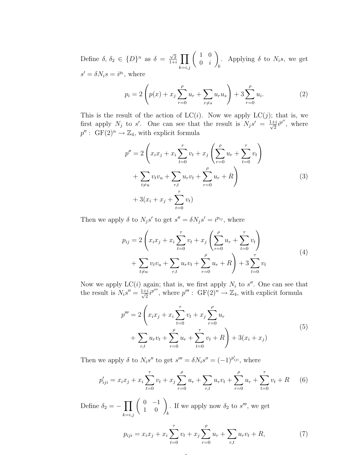Define  $\delta, \delta_2 \in \{D\}^n$  as  $\delta = \frac{\sqrt{2}}{1+i}$  $\frac{\sqrt{2}}{1+i}$   $\prod$  $_{k=i,j}$  $\begin{pmatrix} 1 & 0 \\ 0 & 0 \\ 0 & 0 \\ 0 & 0 \\ 0 & 0 \\ 0 & 0 & 0 \\ 0 & 0 & 0 \\ 0 & 0 & 0 \\ 0 & 0 & 0 & 0 \\ 0 & 0 & 0 & 0 \\ 0 & 0 & 0 & 0 & 0 \\ 0 & 0 & 0 & 0 & 0 \\ 0 & 0 & 0 & 0 & 0 & 0 \\ 0 & 0 & 0 & 0 & 0 & 0 \\ 0 & 0 & 0 & 0 & 0 & 0 & 0 \\ 0 & 0 & 0 & 0 & 0 & 0 & 0 \\ 0 & 0 & 0 & 0 & 0 & 0 & 0 \\ 0 &$  $0 \quad i$  $\setminus$ k . Applying  $\delta$  to  $N_i s$ , we get  $s' = \delta N_i s = i^{p_i}$ , where

$$
p_i = 2\left(p(x) + x_j \sum_{r=0}^{\rho} u_r + \sum_{r \neq s} u_r u_s\right) + 3 \sum_{r=0}^{\rho} u_i.
$$
 (2)

This is the result of the action of  $LC(i)$ . Now we apply  $LC(j)$ ; that is, we first apply  $N_j$  to s'. One can see that the result is  $N_j s' = \frac{1+i}{\sqrt{2}}$  $\frac{-i}{2}i^{p''}$ , where  $p'' : GF(2)^n \to \mathbb{Z}_4$ , with explicit formula

$$
p'' = 2\left(x_i x_j + x_i \sum_{t=0}^{\tau} v_t + x_j \left(\sum_{r=0}^{\rho} u_r + \sum_{t=0}^{\tau} v_t\right) + \sum_{t \neq u} v_t v_u + \sum_{r,t} u_r v_t + \sum_{r=0}^{\rho} u_r + R\right) + 3(x_i + x_j + \sum_{t=0}^{\tau} v_t)
$$
\n(3)

Then we apply  $\delta$  to  $N_j s'$  to get  $s'' = \delta N_j s' = i^{p_{ij}}$ , where

$$
p_{ij} = 2\left(x_i x_j + x_i \sum_{t=0}^{\tau} v_t + x_j \left(\sum_{r=0}^{\rho} u_r + \sum_{t=0}^{\tau} v_t\right) + \sum_{t \neq u} v_t v_u + \sum_{r,t} u_r v_t + \sum_{r=0}^{\rho} u_r + R\right) + 3 \sum_{t=0}^{\tau} v_t
$$
\n(4)

Now we apply  $LC(i)$  again; that is, we first apply  $N_i$  to  $s''$ . One can see that the result is  $N_i s'' = \frac{1+i}{\sqrt{2}}$  $\frac{1}{2}i^{p'''}$ , where  $p'''$ :  $GF(2)^n \to \mathbb{Z}_4$ , with explicit formula

$$
p''' = 2\left(x_i x_j + x_i \sum_{t=0}^{\tau} v_t + x_j \sum_{r=0}^{\rho} u_r + \sum_{r=0}^{\tau} u_r + \sum_{t=0}^{\tau} v_t + R\right) + 3(x_i + x_j)
$$
\n(5)

Then we apply  $\delta$  to  $N_i s''$  to get  $s''' = \delta N_i s'' = (-1)^{p'_{ij}}$ , where

$$
p'_{iji} = x_i x_j + x_i \sum_{t=0}^{\tau} v_t + x_j \sum_{r=0}^{\rho} u_r + \sum_{r,t} u_r v_t + \sum_{r=0}^{\rho} u_r + \sum_{t=0}^{\tau} v_t + R \tag{6}
$$

Define  $\delta_2 = -\prod$  $_{k=i,j}$  $\left(\begin{array}{cc} 0 & -1 \\ 1 & 0 \end{array}\right)_k$ . If we apply now  $\delta_2$  to  $s'''$ , we get

 $\sim$ 

$$
p_{iji} = x_i x_j + x_i \sum_{t=0}^{\tau} v_t + x_j \sum_{r=0}^{\rho} u_r + \sum_{r,t} u_r v_t + R,\tag{7}
$$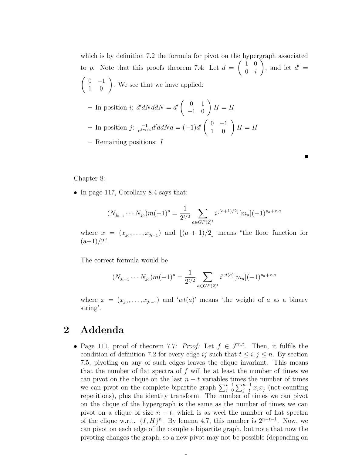which is by definition 7.2 the formula for pivot on the hypergraph associated to p. Note that this proofs theorem 7.4: Let  $d =$  $\begin{pmatrix} 1 & 0 \\ 0 & 0 \\ 0 & 0 \\ 0 & 0 \\ 0 & 0 \\ 0 & 0 & 0 \\ 0 & 0 & 0 \\ 0 & 0 & 0 \\ 0 & 0 & 0 & 0 \\ 0 & 0 & 0 & 0 \\ 0 & 0 & 0 & 0 & 0 \\ 0 & 0 & 0 & 0 & 0 \\ 0 & 0 & 0 & 0 & 0 & 0 \\ 0 & 0 & 0 & 0 & 0 & 0 \\ 0 & 0 & 0 & 0 & 0 & 0 & 0 \\ 0 & 0 & 0 & 0 & 0 & 0 & 0 \\ 0 & 0 & 0 & 0 & 0 & 0 & 0 \\ 0 &$  $0 \quad i$  $\setminus$ , and let  $d' =$  $\left(\begin{array}{cc} 0 & -1 \\ 1 & 0 \end{array}\right)$ . We see that we have applied: - In position *i*:  $d'dNddN = d' \begin{pmatrix} 0 & 1 \\ -1 & 0 \end{pmatrix} H = H$  $-$  In position j:  $\frac{-1}{e^{3\pi i/2}}$  $\frac{-1}{e^{3\pi i/4}}d'ddNd = (-1)d'\begin{pmatrix} 0 & -1 \\ 1 & 0 \end{pmatrix} H = H$ – Remaining positions: I

 $\blacksquare$ 

Chapter 8:

• In page 117, Corollary 8.4 says that:

$$
(N_{j_{t-1}} \cdots N_{j_0})m(-1)^p = \frac{1}{2^{t/2}} \sum_{a \in GF(2)^t} i^{\lfloor (a+1)/2 \rfloor} [m_a](-1)^{p_a + x \cdot a}
$$

where  $x = (x_{j_0}, \ldots, x_{j_{t-1}})$  and  $[(a + 1)/2]$  means "the floor function for  $(a+1)/2$ ".

The correct formula would be

$$
(N_{j_{t-1}} \cdots N_{j_0})m(-1)^p = \frac{1}{2^{t/2}} \sum_{a \in GF(2)^t} i^{wt(a)}[m_a](-1)^{p_a+x \cdot a}
$$

where  $x = (x_{j_0}, \ldots, x_{j_{t-1}})$  and 'wt(a)' means 'the weight of a as a binary string'.

## 2 Addenda

• Page 111, proof of theorem 7.7: Proof: Let  $f \in \mathcal{F}^{n,t}$ . Then, it fulfils the condition of definition 7.2 for every edge ij such that  $t \leq i, j \leq n$ . By section 7.5, pivoting on any of such edges leaves the clique invariant. This means that the number of flat spectra of  $f$  will be at least the number of times we can pivot on the clique on the last  $n - t$  variables times the number of times we can pivot on the complete bipartite graph  $\sum_{i=0}^{t-1} \sum_{j=t}^{n-1} x_i x_j$  (not counting repetitions), plus the identity transform. The number of times we can pivot on the clique of the hypergraph is the same as the number of times we can pivot on a clique of size  $n - t$ , which is as weel the number of flat spectra of the clique w.r.t.  $\{I, H\}^n$ . By lemma 4.7, this number is  $2^{n-t-1}$ . Now, we can pivot on each edge of the complete bipartite graph, but note that now the pivoting changes the graph, so a new pivot may not be possible (depending on

 $\sim$